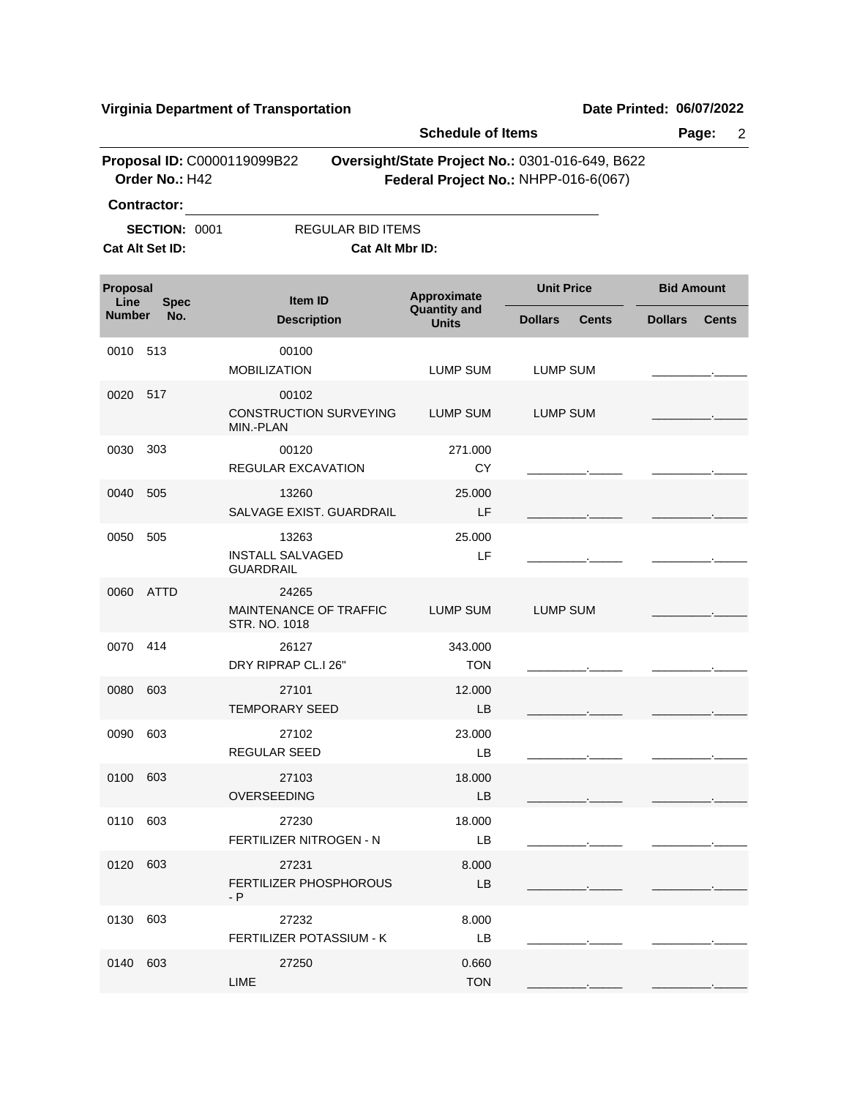**Virginia Department of Transportation Date Printed: 06/07/2022**

|                                                        |                    | Page:<br>$\overline{2}$                              |                                                                                         |                                |                |                   |  |
|--------------------------------------------------------|--------------------|------------------------------------------------------|-----------------------------------------------------------------------------------------|--------------------------------|----------------|-------------------|--|
|                                                        | Order No.: H42     | Proposal ID: C0000119099B22                          | Oversight/State Project No.: 0301-016-649, B622<br>Federal Project No.: NHPP-016-6(067) |                                |                |                   |  |
| Contractor:<br><b>SECTION: 0001</b><br>Cat Alt Set ID: |                    | <b>REGULAR BID ITEMS</b><br>Cat Alt Mbr ID:          |                                                                                         |                                |                |                   |  |
| Proposal<br>Line                                       |                    | Item ID                                              | Approximate                                                                             | <b>Unit Price</b>              |                | <b>Bid Amount</b> |  |
| <b>Number</b>                                          | <b>Spec</b><br>No. | <b>Description</b>                                   | <b>Quantity and</b><br><b>Units</b>                                                     | <b>Dollars</b><br><b>Cents</b> | <b>Dollars</b> | <b>Cents</b>      |  |
| 0010                                                   | 513                | 00100<br><b>MOBILIZATION</b>                         | <b>LUMP SUM</b>                                                                         | <b>LUMP SUM</b>                |                |                   |  |
| 0020                                                   | 517                | 00102<br><b>CONSTRUCTION SURVEYING</b><br>MIN.-PLAN  | <b>LUMP SUM</b>                                                                         | <b>LUMP SUM</b>                |                |                   |  |
| 0030                                                   | 303                | 00120<br>REGULAR EXCAVATION                          | 271.000<br><b>CY</b>                                                                    |                                |                |                   |  |
| 0040                                                   | 505                | 13260<br>SALVAGE EXIST. GUARDRAIL                    | 25.000<br>LF                                                                            |                                |                |                   |  |
| 0050                                                   | 505                | 13263<br><b>INSTALL SALVAGED</b><br><b>GUARDRAIL</b> | 25.000<br>LF                                                                            |                                |                |                   |  |
| 0060                                                   | <b>ATTD</b>        | 24265<br>MAINTENANCE OF TRAFFIC<br>STR. NO. 1018     | <b>LUMP SUM</b>                                                                         | <b>LUMP SUM</b>                |                |                   |  |
| 0070                                                   | 414                | 26127<br>DRY RIPRAP CL.I 26"                         | 343.000<br><b>TON</b>                                                                   |                                |                |                   |  |
| 0080                                                   | 603                | 27101<br><b>TEMPORARY SEED</b>                       | 12.000<br>LB                                                                            |                                |                |                   |  |
| 0090                                                   | 603                | 27102<br>REGULAR SEED                                | 23.000<br>LB                                                                            |                                |                |                   |  |
| 0100 603                                               |                    | 27103<br>OVERSEEDING                                 | 18.000<br>LB                                                                            |                                |                |                   |  |
| 0110                                                   | 603                | 27230<br>FERTILIZER NITROGEN - N                     | 18.000<br>LB                                                                            |                                |                |                   |  |
| 0120                                                   | 603                | 27231<br><b>FERTILIZER PHOSPHOROUS</b><br>- P        | 8.000<br>LB                                                                             |                                |                |                   |  |
| 0130                                                   | 603                | 27232<br>FERTILIZER POTASSIUM - K                    | 8.000<br>LB                                                                             |                                |                |                   |  |
| 0140                                                   | 603                | 27250<br>LIME                                        | 0.660<br><b>TON</b>                                                                     |                                |                |                   |  |